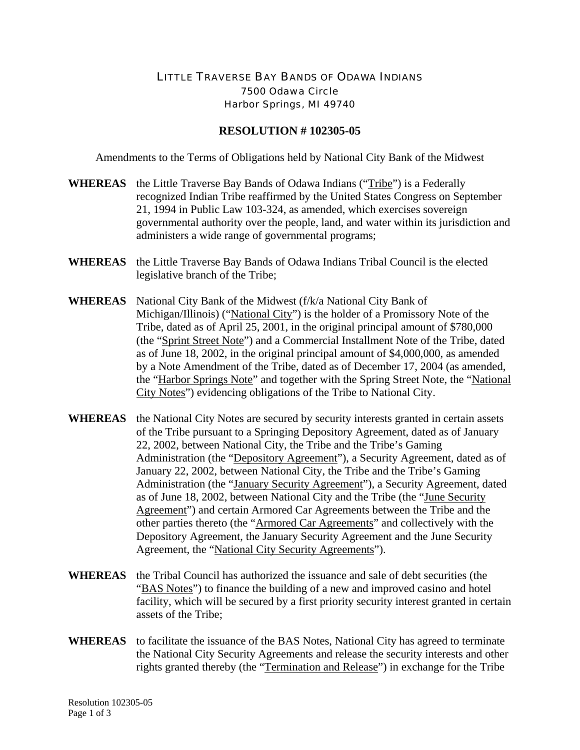## LITTLE TRAVERSE BAY BANDS OF ODAWA INDIANS 7500 Odawa Circle Harbor Springs, MI 49740

## **RESOLUTION # 102305-05**

Amendments to the Terms of Obligations held by National City Bank of the Midwest

- **WHEREAS** the Little Traverse Bay Bands of Odawa Indians ("Tribe") is a Federally recognized Indian Tribe reaffirmed by the United States Congress on September 21, 1994 in Public Law 103-324, as amended, which exercises sovereign governmental authority over the people, land, and water within its jurisdiction and administers a wide range of governmental programs;
- **WHEREAS** the Little Traverse Bay Bands of Odawa Indians Tribal Council is the elected legislative branch of the Tribe;
- **WHEREAS** National City Bank of the Midwest (f/k/a National City Bank of Michigan/Illinois) ("National City") is the holder of a Promissory Note of the Tribe, dated as of April 25, 2001, in the original principal amount of \$780,000 (the "Sprint Street Note") and a Commercial Installment Note of the Tribe, dated as of June 18, 2002, in the original principal amount of \$4,000,000, as amended by a Note Amendment of the Tribe, dated as of December 17, 2004 (as amended, the "Harbor Springs Note" and together with the Spring Street Note, the "National City Notes") evidencing obligations of the Tribe to National City.
- **WHEREAS** the National City Notes are secured by security interests granted in certain assets of the Tribe pursuant to a Springing Depository Agreement, dated as of January 22, 2002, between National City, the Tribe and the Tribe's Gaming Administration (the "Depository Agreement"), a Security Agreement, dated as of January 22, 2002, between National City, the Tribe and the Tribe's Gaming Administration (the "January Security Agreement"), a Security Agreement, dated as of June 18, 2002, between National City and the Tribe (the "June Security Agreement") and certain Armored Car Agreements between the Tribe and the other parties thereto (the "Armored Car Agreements" and collectively with the Depository Agreement, the January Security Agreement and the June Security Agreement, the "National City Security Agreements").
- **WHEREAS** the Tribal Council has authorized the issuance and sale of debt securities (the "BAS Notes") to finance the building of a new and improved casino and hotel facility, which will be secured by a first priority security interest granted in certain assets of the Tribe;
- **WHEREAS** to facilitate the issuance of the BAS Notes, National City has agreed to terminate the National City Security Agreements and release the security interests and other rights granted thereby (the "Termination and Release") in exchange for the Tribe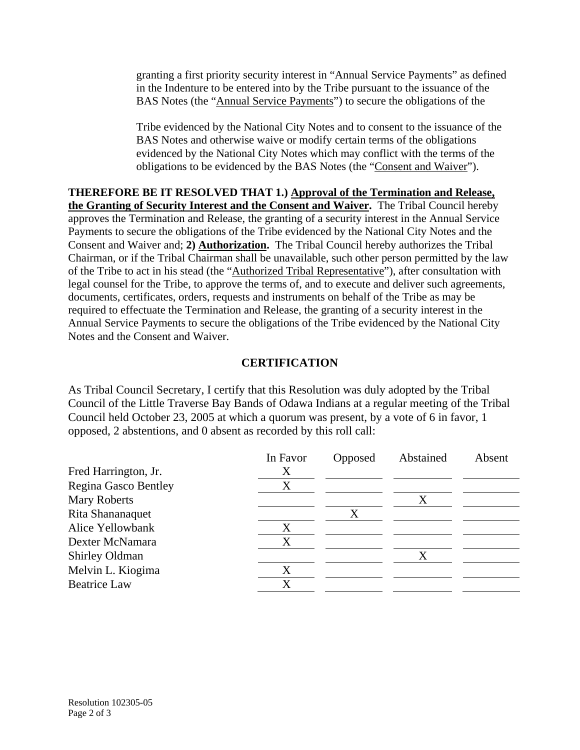granting a first priority security interest in "Annual Service Payments" as defined in the Indenture to be entered into by the Tribe pursuant to the issuance of the BAS Notes (the "Annual Service Payments") to secure the obligations of the

Tribe evidenced by the National City Notes and to consent to the issuance of the BAS Notes and otherwise waive or modify certain terms of the obligations evidenced by the National City Notes which may conflict with the terms of the obligations to be evidenced by the BAS Notes (the "Consent and Waiver").

**THEREFORE BE IT RESOLVED THAT 1.) Approval of the Termination and Release, the Granting of Security Interest and the Consent and Waiver.** The Tribal Council hereby approves the Termination and Release, the granting of a security interest in the Annual Service Payments to secure the obligations of the Tribe evidenced by the National City Notes and the Consent and Waiver and; **2) Authorization.** The Tribal Council hereby authorizes the Tribal Chairman, or if the Tribal Chairman shall be unavailable, such other person permitted by the law of the Tribe to act in his stead (the "Authorized Tribal Representative"), after consultation with legal counsel for the Tribe, to approve the terms of, and to execute and deliver such agreements, documents, certificates, orders, requests and instruments on behalf of the Tribe as may be required to effectuate the Termination and Release, the granting of a security interest in the Annual Service Payments to secure the obligations of the Tribe evidenced by the National City Notes and the Consent and Waiver.

## **CERTIFICATION**

As Tribal Council Secretary, I certify that this Resolution was duly adopted by the Tribal Council of the Little Traverse Bay Bands of Odawa Indians at a regular meeting of the Tribal Council held October 23, 2005 at which a quorum was present, by a vote of 6 in favor, 1 opposed, 2 abstentions, and 0 absent as recorded by this roll call:

|                       | In Favor | Opposed | Abstained | Absent |
|-----------------------|----------|---------|-----------|--------|
| Fred Harrington, Jr.  | X        |         |           |        |
| Regina Gasco Bentley  | X        |         |           |        |
| <b>Mary Roberts</b>   |          |         | Χ         |        |
| Rita Shananaquet      |          |         |           |        |
| Alice Yellowbank      | X        |         |           |        |
| Dexter McNamara       | X        |         |           |        |
| <b>Shirley Oldman</b> |          |         |           |        |
| Melvin L. Kiogima     | X        |         |           |        |
| <b>Beatrice Law</b>   | X        |         |           |        |